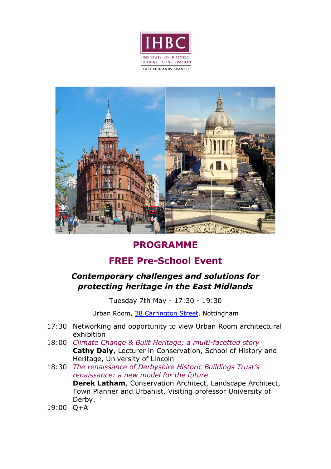



## **PROGRAMME**

# **FREE Pre-School Event**

## *Contemporary challenges and solutions for protecting heritage in the East Midlands*

Tuesday 7th May - 17:30 - 19:30

Urban Room, [38 Carrington Street,](https://www.38carringtonstreet.org.uk/) Nottingham

- 17:30 Networking and opportunity to view Urban Room architectural exhibition
- 18:00 *Climate Change & Built Heritage; a multi-facetted story* **Cathy Daly**, Lecturer in Conservation, School of History and Heritage, University of Lincoln
- 18:30 *The renaissance of Derbyshire Historic Buildings Trust's renaissance: a new model for the future* **Derek Latham**, Conservation Architect, Landscape Architect, Town Planner and Urbanist. Visiting professor University of Derby.
- 19:00 Q+A